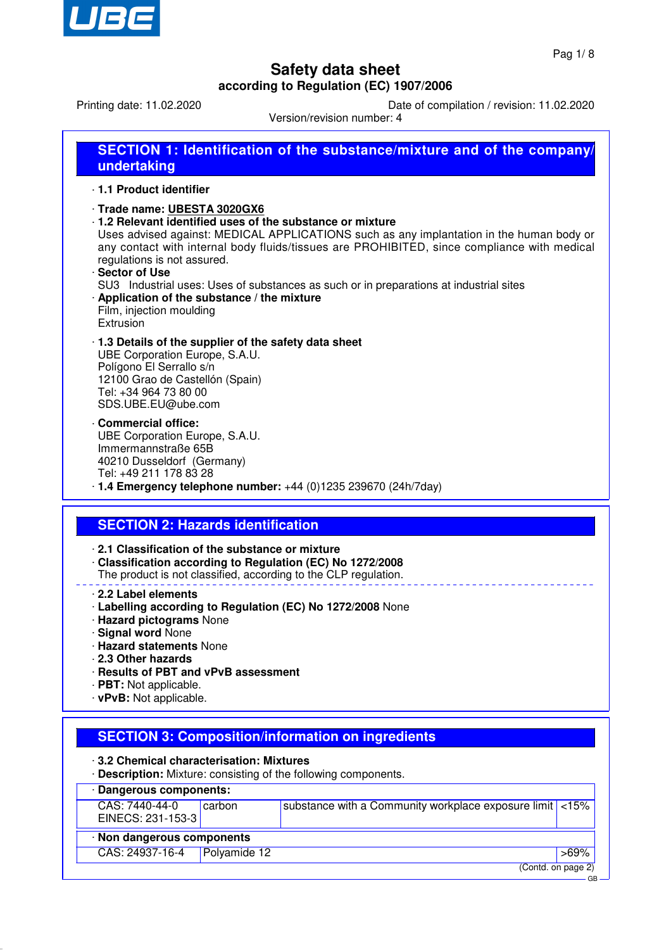

Printing date: 11.02.2020 Date of compilation / revision: 11.02.2020

Version/revision number: 4

| undertaking                                                                                                                                                                                                                   |              | <b>SECTION 1: Identification of the substance/mixture and of the company/</b>                                                                                                                                                                                                                                                                 |         |
|-------------------------------------------------------------------------------------------------------------------------------------------------------------------------------------------------------------------------------|--------------|-----------------------------------------------------------------------------------------------------------------------------------------------------------------------------------------------------------------------------------------------------------------------------------------------------------------------------------------------|---------|
| 1.1 Product identifier                                                                                                                                                                                                        |              |                                                                                                                                                                                                                                                                                                                                               |         |
| Trade name: UBESTA 3020GX6<br>regulations is not assured.<br>· Sector of Use<br>Application of the substance / the mixture<br>Film, injection moulding<br>Extrusion                                                           |              | 1.2 Relevant identified uses of the substance or mixture<br>Uses advised against: MEDICAL APPLICATIONS such as any implantation in the human body or<br>any contact with internal body fluids/tissues are PROHIBITED, since compliance with medical<br>SU3 Industrial uses: Uses of substances as such or in preparations at industrial sites |         |
| 1.3 Details of the supplier of the safety data sheet<br>UBE Corporation Europe, S.A.U.<br>Polígono El Serrallo s/n<br>12100 Grao de Castellón (Spain)<br>Tel: +34 964 73 80 00<br>SDS.UBE.EU@ube.com                          |              |                                                                                                                                                                                                                                                                                                                                               |         |
| <b>Commercial office:</b><br>UBE Corporation Europe, S.A.U.<br>Immermannstraße 65B<br>40210 Dusseldorf (Germany)<br>Tel: +49 211 178 83 28                                                                                    |              | · 1.4 Emergency telephone number: +44 (0)1235 239670 (24h/7day)                                                                                                                                                                                                                                                                               |         |
| <b>SECTION 2: Hazards identification</b>                                                                                                                                                                                      |              |                                                                                                                                                                                                                                                                                                                                               |         |
| 2.1 Classification of the substance or mixture                                                                                                                                                                                |              | Classification according to Regulation (EC) No 1272/2008<br>The product is not classified, according to the CLP regulation.                                                                                                                                                                                                                   |         |
| 2.2 Label elements<br>· Hazard pictograms None<br>· Signal word None<br><b>Hazard statements None</b><br>2.3 Other hazards<br>· Results of PBT and vPvB assessment<br>· PBT: Not applicable.<br>$\cdot$ vPvB: Not applicable. |              | · Labelling according to Regulation (EC) No 1272/2008 None                                                                                                                                                                                                                                                                                    |         |
|                                                                                                                                                                                                                               |              | <b>SECTION 3: Composition/information on ingredients</b>                                                                                                                                                                                                                                                                                      |         |
| 3.2 Chemical characterisation: Mixtures                                                                                                                                                                                       |              | . Description: Mixture: consisting of the following components.                                                                                                                                                                                                                                                                               |         |
| <b>Dangerous components:</b>                                                                                                                                                                                                  |              |                                                                                                                                                                                                                                                                                                                                               |         |
| CAS: 7440-44-0<br>EINECS: 231-153-3                                                                                                                                                                                           | carbon       | substance with a Community workplace exposure limit                                                                                                                                                                                                                                                                                           | < 15%   |
| · Non dangerous components                                                                                                                                                                                                    |              |                                                                                                                                                                                                                                                                                                                                               |         |
| CAS: 24937-16-4                                                                                                                                                                                                               | Polyamide 12 |                                                                                                                                                                                                                                                                                                                                               | $>69\%$ |

(Contd. on page 2)

GB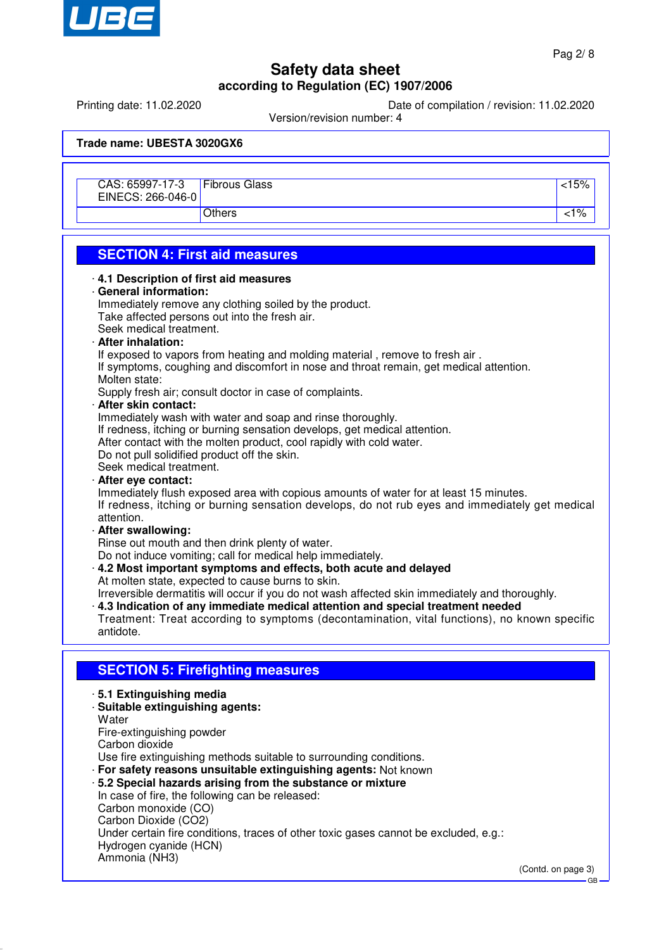

Printing date: 11.02.2020 Date of compilation / revision: 11.02.2020

Version/revision number: 4

**Trade name: UBESTA 3020GX6**

| CAS: 65997-17-3<br>EINECS: 266-046-0 | <b>Fibrous Glass</b> | :15%          |
|--------------------------------------|----------------------|---------------|
|                                      | Others               | $^{\prime}$ % |

# **SECTION 4: First aid measures**

| <u>LUTIUN 7. FIBLAIU III CASCIUS</u>                                                                         |  |
|--------------------------------------------------------------------------------------------------------------|--|
| 4.1 Description of first aid measures                                                                        |  |
| · General information:                                                                                       |  |
| Immediately remove any clothing soiled by the product.                                                       |  |
| Take affected persons out into the fresh air.                                                                |  |
| Seek medical treatment.                                                                                      |  |
| · After inhalation:                                                                                          |  |
| If exposed to vapors from heating and molding material, remove to fresh air.                                 |  |
| If symptoms, coughing and discomfort in nose and throat remain, get medical attention.                       |  |
| Molten state:                                                                                                |  |
| Supply fresh air; consult doctor in case of complaints.                                                      |  |
| · After skin contact:                                                                                        |  |
| Immediately wash with water and soap and rinse thoroughly.                                                   |  |
| If redness, itching or burning sensation develops, get medical attention.                                    |  |
| After contact with the molten product, cool rapidly with cold water.                                         |  |
| Do not pull solidified product off the skin.                                                                 |  |
| Seek medical treatment.                                                                                      |  |
| · After eye contact:                                                                                         |  |
| Immediately flush exposed area with copious amounts of water for at least 15 minutes.                        |  |
| If redness, itching or burning sensation develops, do not rub eyes and immediately get medical<br>attention. |  |
| · After swallowing:                                                                                          |  |
| Rinse out mouth and then drink plenty of water.                                                              |  |
| Do not induce vomiting; call for medical help immediately.                                                   |  |
| . 4.2 Most important symptoms and effects, both acute and delayed                                            |  |
| At molten state, expected to cause burns to skin.                                                            |  |
| Irreversible dermatitis will occur if you do not wash affected skin immediately and thoroughly.              |  |
| 4.3 Indication of any immediate medical attention and special treatment needed                               |  |
| Treatment: Treat according to symptoms (decontamination, vital functions), no known specific                 |  |
| antidote.                                                                                                    |  |
|                                                                                                              |  |
| <b>SECTION 5: Firefighting measures</b>                                                                      |  |
|                                                                                                              |  |
| 5.1 Extinguishing media                                                                                      |  |
| · Suitable extinguishing agents:<br>Water                                                                    |  |
| Fire-extinguishing powder                                                                                    |  |
| Carbon dioxide                                                                                               |  |
| Use fire extinguishing methods suitable to surrounding conditions.                                           |  |
| · For safety reasons unsuitable extinguishing agents: Not known                                              |  |
| .5.2 Special hazards arising from the substance or mixture                                                   |  |
| In case of fire, the following can be released:                                                              |  |
| Carbon monoxide (CO)                                                                                         |  |
| Carbon Dioxide (CO2)                                                                                         |  |
| Under certain fire conditions, traces of other toxic gases cannot be excluded, e.g.:                         |  |
| Hydrogen cyanide (HCN)                                                                                       |  |
| Ammonia (NH3)                                                                                                |  |
|                                                                                                              |  |

 $\overline{\phantom{a}}$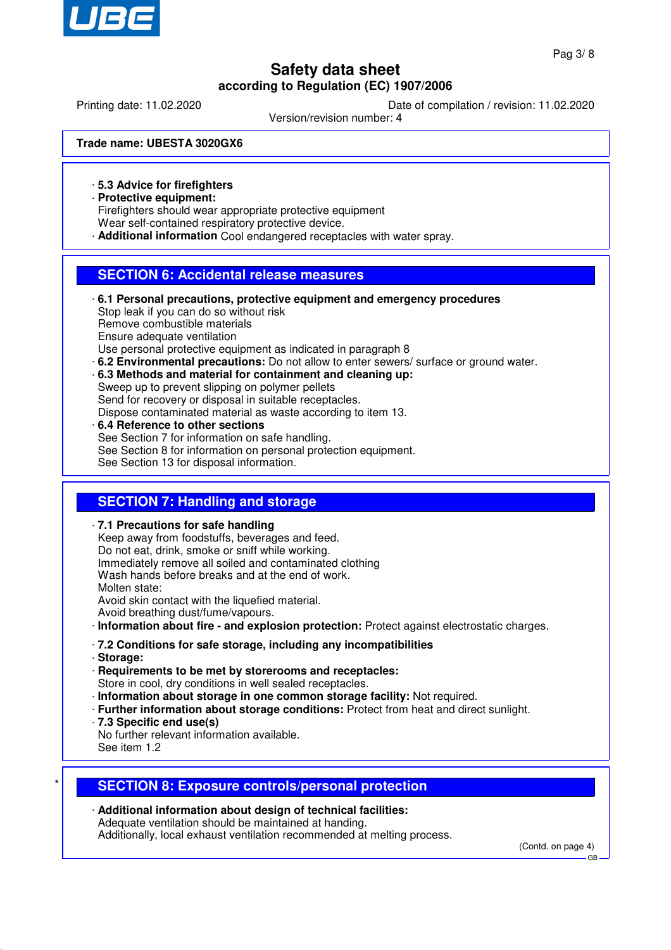

Printing date: 11.02.2020 Date of compilation / revision: 11.02.2020

Version/revision number: 4

**Trade name: UBESTA 3020GX6**

· **5.3 Advice for firefighters**

· **Protective equipment:**

Firefighters should wear appropriate protective equipment Wear self-contained respiratory protective device.

· **Additional information** Cool endangered receptacles with water spray.

### **SECTION 6: Accidental release measures**

· **6.1 Personal precautions, protective equipment and emergency procedures** Stop leak if you can do so without risk Remove combustible materials Ensure adequate ventilation Use personal protective equipment as indicated in paragraph 8 · **6.2 Environmental precautions:** Do not allow to enter sewers/ surface or ground water. · **6.3 Methods and material for containment and cleaning up:** Sweep up to prevent slipping on polymer pellets

Send for recovery or disposal in suitable receptacles.

Dispose contaminated material as waste according to item 13.

· **6.4 Reference to other sections** See Section 7 for information on safe handling. See Section 8 for information on personal protection equipment. See Section 13 for disposal information.

### **SECTION 7: Handling and storage**

· **7.1 Precautions for safe handling** Keep away from foodstuffs, beverages and feed. Do not eat, drink, smoke or sniff while working. Immediately remove all soiled and contaminated clothing Wash hands before breaks and at the end of work. Molten state: Avoid skin contact with the liquefied material. Avoid breathing dust/fume/vapours. · **Information about fire - and explosion protection:** Protect against electrostatic charges. · **7.2 Conditions for safe storage, including any incompatibilities**

- · **Storage:**
- · **Requirements to be met by storerooms and receptacles:** Store in cool, dry conditions in well sealed receptacles.
- · **Information about storage in one common storage facility:** Not required.
- · **Further information about storage conditions:** Protect from heat and direct sunlight.
- · **7.3 Specific end use(s)**
- No further relevant information available. See item 1.2

### \* **SECTION 8: Exposure controls/personal protection**

· **Additional information about design of technical facilities:** Adequate ventilation should be maintained at handing. Additionally, local exhaust ventilation recommended at melting process.

(Contd. on page 4)

GB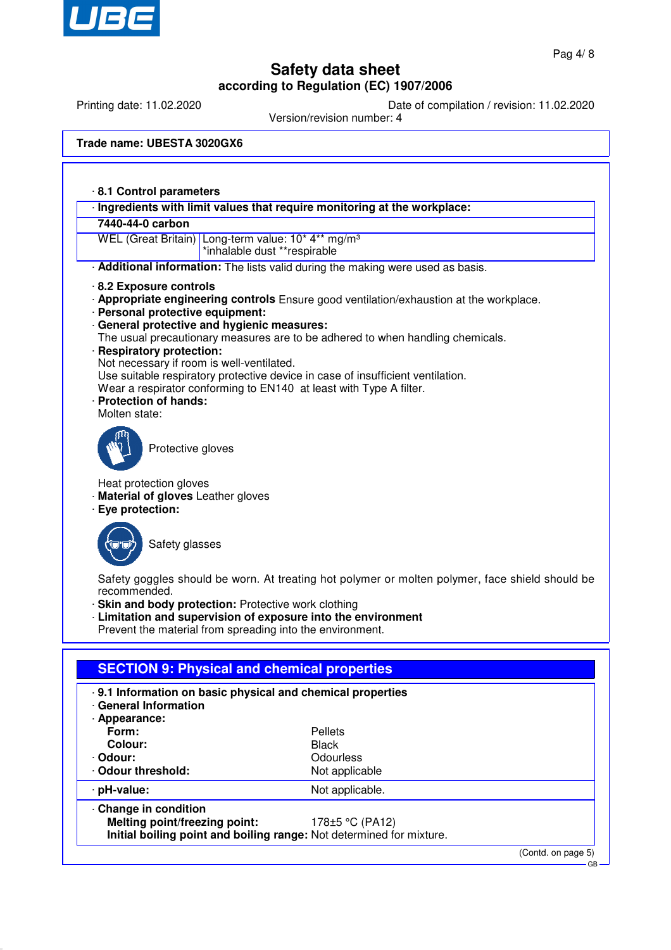

Printing date: 11.02.2020 Date of compilation / revision: 11.02.2020

Version/revision number: 4

| Trade name: UBESTA 3020GX6 |  |  |
|----------------------------|--|--|
|----------------------------|--|--|

|                                                   | · Ingredients with limit values that require monitoring at the workplace:                                                  |
|---------------------------------------------------|----------------------------------------------------------------------------------------------------------------------------|
| 7440-44-0 carbon                                  |                                                                                                                            |
|                                                   | WEL (Great Britain) Long-term value: 10* 4** mg/m <sup>3</sup>                                                             |
|                                                   | *inhalable dust **respirable                                                                                               |
|                                                   | · Additional information: The lists valid during the making were used as basis.                                            |
| 8.2 Exposure controls                             |                                                                                                                            |
|                                                   | . Appropriate engineering controls Ensure good ventilation/exhaustion at the workplace.                                    |
| · Personal protective equipment:                  |                                                                                                                            |
|                                                   | · General protective and hygienic measures:                                                                                |
| · Respiratory protection:                         | The usual precautionary measures are to be adhered to when handling chemicals.                                             |
| Not necessary if room is well-ventilated.         |                                                                                                                            |
|                                                   | Use suitable respiratory protective device in case of insufficient ventilation.                                            |
|                                                   | Wear a respirator conforming to EN140 at least with Type A filter.                                                         |
| · Protection of hands:                            |                                                                                                                            |
| Molten state:                                     |                                                                                                                            |
|                                                   |                                                                                                                            |
| Protective gloves                                 |                                                                                                                            |
|                                                   |                                                                                                                            |
| Heat protection gloves                            |                                                                                                                            |
| Material of gloves Leather gloves                 |                                                                                                                            |
| · Eye protection:                                 |                                                                                                                            |
|                                                   |                                                                                                                            |
| Safety glasses                                    |                                                                                                                            |
|                                                   |                                                                                                                            |
|                                                   |                                                                                                                            |
|                                                   |                                                                                                                            |
|                                                   | Safety goggles should be worn. At treating hot polymer or molten polymer, face shield should be                            |
| recommended.                                      |                                                                                                                            |
|                                                   | · Skin and body protection: Protective work clothing                                                                       |
|                                                   | · Limitation and supervision of exposure into the environment<br>Prevent the material from spreading into the environment. |
|                                                   |                                                                                                                            |
|                                                   |                                                                                                                            |
|                                                   | <b>SECTION 9: Physical and chemical properties</b>                                                                         |
|                                                   | · 9.1 Information on basic physical and chemical properties                                                                |
|                                                   |                                                                                                                            |
|                                                   |                                                                                                                            |
| Form:                                             | <b>Pellets</b>                                                                                                             |
| · General Information<br>· Appearance:<br>Colour: | <b>Black</b>                                                                                                               |
|                                                   | Odourless                                                                                                                  |
|                                                   | Not applicable                                                                                                             |
| Odour:<br>· Odour threshold:<br>pH-value:         | Not applicable.                                                                                                            |
| Change in condition                               |                                                                                                                            |
| Melting point/freezing point:                     | 178±5 °C (PA12)<br>Initial boiling point and boiling range: Not determined for mixture.                                    |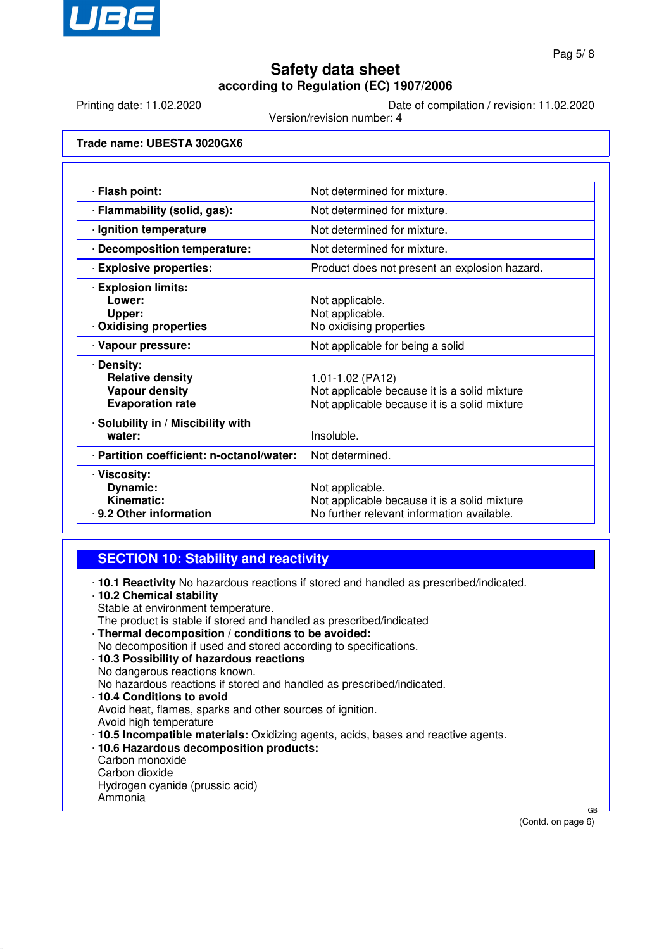

Printing date: 11.02.2020 Date of compilation / revision: 11.02.2020

Version/revision number: 4

**Trade name: UBESTA 3020GX6**

| · Flash point:                                                                            | Not determined for mixture.                                                                                      |
|-------------------------------------------------------------------------------------------|------------------------------------------------------------------------------------------------------------------|
| · Flammability (solid, gas):                                                              | Not determined for mixture.                                                                                      |
| · Ignition temperature                                                                    | Not determined for mixture.                                                                                      |
| · Decomposition temperature:                                                              | Not determined for mixture.                                                                                      |
| · Explosive properties:                                                                   | Product does not present an explosion hazard.                                                                    |
| <b>Explosion limits:</b><br>Lower:<br>Upper:<br>Oxidising properties                      | Not applicable.<br>Not applicable.<br>No oxidising properties                                                    |
| · Vapour pressure:                                                                        | Not applicable for being a solid                                                                                 |
| · Density:<br><b>Relative density</b><br><b>Vapour density</b><br><b>Evaporation rate</b> | 1.01-1.02 (PA12)<br>Not applicable because it is a solid mixture<br>Not applicable because it is a solid mixture |
| · Solubility in / Miscibility with<br>water:                                              | Insoluble.                                                                                                       |
| · Partition coefficient: n-octanol/water:                                                 | Not determined.                                                                                                  |
| · Viscosity:<br>Dynamic:<br>Kinematic:<br>⋅ 9.2 Other information                         | Not applicable.<br>Not applicable because it is a solid mixture<br>No further relevant information available.    |

- **SECTION 10: Stability and reactivity**
- · **10.1 Reactivity** No hazardous reactions if stored and handled as prescribed/indicated.
- · **10.2 Chemical stability** Stable at environment temperature. The product is stable if stored and handled as prescribed/indicated · **Thermal decomposition / conditions to be avoided:** No decomposition if used and stored according to specifications. · **10.3 Possibility of hazardous reactions** No dangerous reactions known. No hazardous reactions if stored and handled as prescribed/indicated. · **10.4 Conditions to avoid** Avoid heat, flames, sparks and other sources of ignition. Avoid high temperature · **10.5 Incompatible materials:** Oxidizing agents, acids, bases and reactive agents. · **10.6 Hazardous decomposition products:** Carbon monoxide Carbon dioxide Hydrogen cyanide (prussic acid) Ammonia

(Contd. on page 6)

GB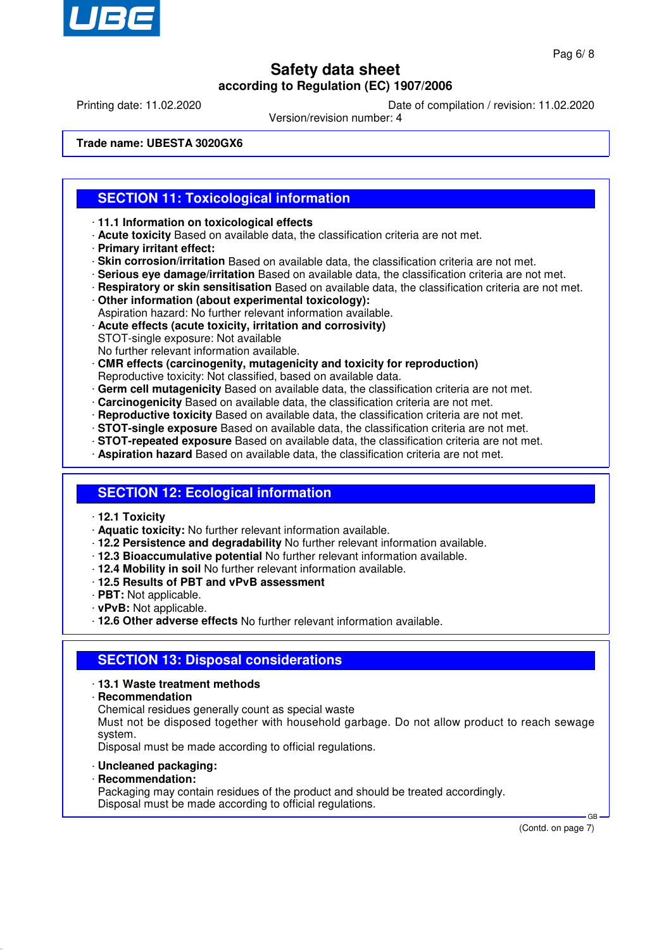

Printing date: 11.02.2020 Date of compilation / revision: 11.02.2020

Version/revision number: 4

**Trade name: UBESTA 3020GX6**

### **SECTION 11: Toxicological information**

- · **11.1 Information on toxicological effects**
- · **Acute toxicity** Based on available data, the classification criteria are not met.
- · **Primary irritant effect:**
- · **Skin corrosion/irritation** Based on available data, the classification criteria are not met.
- · **Serious eye damage/irritation** Based on available data, the classification criteria are not met.
- · **Respiratory or skin sensitisation** Based on available data, the classification criteria are not met.
- · **Other information (about experimental toxicology):**
- Aspiration hazard: No further relevant information available. · **Acute effects (acute toxicity, irritation and corrosivity)**
- STOT-single exposure: Not available
- No further relevant information available.
- · **CMR effects (carcinogenity, mutagenicity and toxicity for reproduction)** Reproductive toxicity: Not classified, based on available data.
- · **Germ cell mutagenicity** Based on available data, the classification criteria are not met.
- · **Carcinogenicity** Based on available data, the classification criteria are not met.
- · **Reproductive toxicity** Based on available data, the classification criteria are not met.
- · **STOT-single exposure** Based on available data, the classification criteria are not met.
- · **STOT-repeated exposure** Based on available data, the classification criteria are not met.
- · **Aspiration hazard** Based on available data, the classification criteria are not met.

#### **SECTION 12: Ecological information**

- · **12.1 Toxicity**
- · **Aquatic toxicity:** No further relevant information available.
- · **12.2 Persistence and degradability** No further relevant information available.
- · **12.3 Bioaccumulative potential** No further relevant information available.
- · **12.4 Mobility in soil** No further relevant information available.
- · **12.5 Results of PBT and vPvB assessment**
- · **PBT:** Not applicable.
- · **vPvB:** Not applicable.
- · **12.6 Other adverse effects** No further relevant information available.

#### **SECTION 13: Disposal considerations**

- · **13.1 Waste treatment methods**
- · **Recommendation**

Chemical residues generally count as special waste

Must not be disposed together with household garbage. Do not allow product to reach sewage system.

Disposal must be made according to official regulations.

- · **Uncleaned packaging:**
- · **Recommendation:**

Packaging may contain residues of the product and should be treated accordingly. Disposal must be made according to official regulations.

(Contd. on page 7)

GB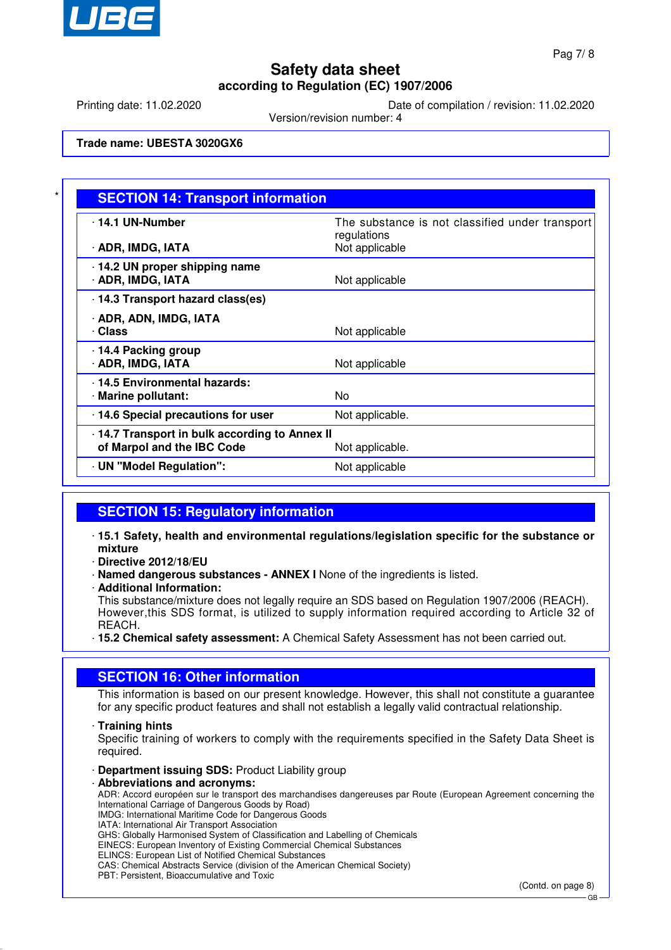

Printing date: 11.02.2020 Date of compilation / revision: 11.02.2020

Version/revision number: 4

**Trade name: UBESTA 3020GX6**

| <b>SECTION 14: Transport information</b>                                   |                                                                |
|----------------------------------------------------------------------------|----------------------------------------------------------------|
| · 14.1 UN-Number                                                           | The substance is not classified under transport<br>regulations |
| · ADR, IMDG, IATA                                                          | Not applicable                                                 |
| 14.2 UN proper shipping name<br>· ADR, IMDG, IATA                          | Not applicable                                                 |
| 14.3 Transport hazard class(es)                                            |                                                                |
| · ADR, ADN, IMDG, IATA<br>· Class                                          | Not applicable                                                 |
| 14.4 Packing group<br>· ADR, IMDG, IATA                                    | Not applicable                                                 |
| 14.5 Environmental hazards:<br>· Marine pollutant:                         | No.                                                            |
| 14.6 Special precautions for user                                          | Not applicable.                                                |
| 14.7 Transport in bulk according to Annex II<br>of Marpol and the IBC Code | Not applicable.                                                |
| UN "Model Regulation":                                                     | Not applicable                                                 |

### **SECTION 15: Regulatory information**

· **15.1 Safety, health and environmental regulations/legislation specific for the substance or mixture**

· **Directive 2012/18/EU**

· **Named dangerous substances - ANNEX I** None of the ingredients is listed.

· **Additional Information:**

This substance/mixture does not legally require an SDS based on Regulation 1907/2006 (REACH). However, this SDS format, is utilized to supply information required according to Article 32 of REACH.

· **15.2 Chemical safety assessment:** A Chemical Safety Assessment has not been carried out.

#### **SECTION 16: Other information**

This information is based on our present knowledge. However, this shall not constitute a guarantee for any specific product features and shall not establish a legally valid contractual relationship.

#### · **Training hints**

Specific training of workers to comply with the requirements specified in the Safety Data Sheet is required.

· **Department issuing SDS:** Product Liability group

#### · **Abbreviations and acronyms:**

ADR: Accord européen sur le transport des marchandises dangereuses par Route (European Agreement concerning the International Carriage of Dangerous Goods by Road) IMDG: International Maritime Code for Dangerous Goods

IATA: International Air Transport Association

GHS: Globally Harmonised System of Classification and Labelling of Chemicals

EINECS: European Inventory of Existing Commercial Chemical Substances

ELINCS: European List of Notified Chemical Substances

CAS: Chemical Abstracts Service (division of the American Chemical Society)

PBT: Persistent, Bioaccumulative and Toxic

(Contd. on page 8)